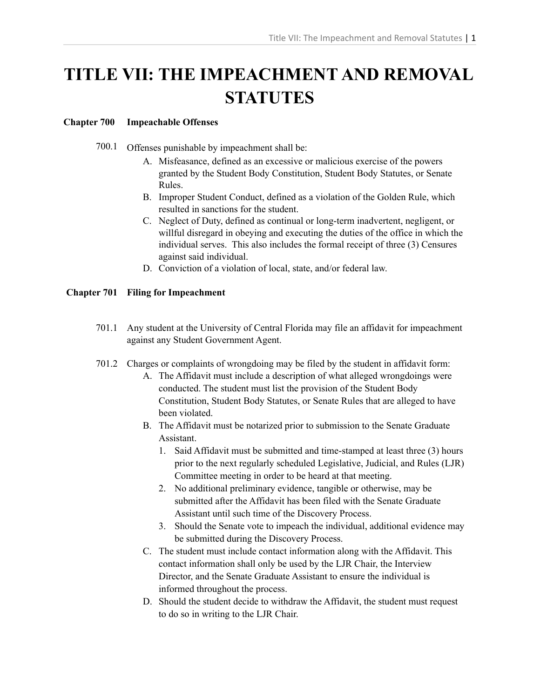# **TITLE VII: THE IMPEACHMENT AND REMOVAL STATUTES**

## **Chapter 700 Impeachable Offenses**

- 700.1 Offenses punishable by impeachment shall be:
	- A. Misfeasance, defined as an excessive or malicious exercise of the powers granted by the Student Body Constitution, Student Body Statutes, or Senate Rules.
	- B. Improper Student Conduct, defined as a violation of the Golden Rule, which resulted in sanctions for the student.
	- C. Neglect of Duty, defined as continual or long-term inadvertent, negligent, or willful disregard in obeying and executing the duties of the office in which the individual serves. This also includes the formal receipt of three (3) Censures against said individual.
	- D. Conviction of a violation of local, state, and/or federal law.

## **Chapter 701 Filing for Impeachment**

- 701.1 Any student at the University of Central Florida may file an affidavit for impeachment against any Student Government Agent.
- 701.2 Charges or complaints of wrongdoing may be filed by the student in affidavit form:
	- A. The Affidavit must include a description of what alleged wrongdoings were conducted. The student must list the provision of the Student Body Constitution, Student Body Statutes, or Senate Rules that are alleged to have been violated.
	- B. The Affidavit must be notarized prior to submission to the Senate Graduate Assistant.
		- 1. Said Affidavit must be submitted and time-stamped at least three (3) hours prior to the next regularly scheduled Legislative, Judicial, and Rules (LJR) Committee meeting in order to be heard at that meeting.
		- 2. No additional preliminary evidence, tangible or otherwise, may be submitted after the Affidavit has been filed with the Senate Graduate Assistant until such time of the Discovery Process.
		- 3. Should the Senate vote to impeach the individual, additional evidence may be submitted during the Discovery Process.
	- C. The student must include contact information along with the Affidavit. This contact information shall only be used by the LJR Chair, the Interview Director, and the Senate Graduate Assistant to ensure the individual is informed throughout the process.
	- D. Should the student decide to withdraw the Affidavit, the student must request to do so in writing to the LJR Chair.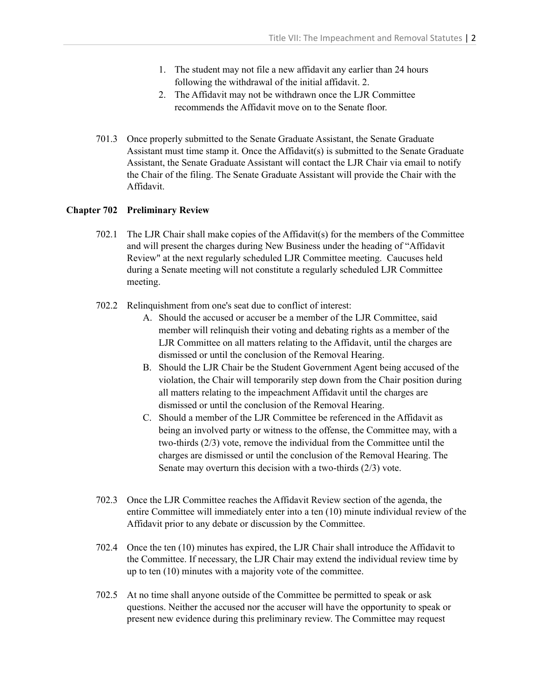- 1. The student may not file a new affidavit any earlier than 24 hours following the withdrawal of the initial affidavit. 2.
- 2. The Affidavit may not be withdrawn once the LJR Committee recommends the Affidavit move on to the Senate floor.
- 701.3 Once properly submitted to the Senate Graduate Assistant, the Senate Graduate Assistant must time stamp it. Once the Affidavit(s) is submitted to the Senate Graduate Assistant, the Senate Graduate Assistant will contact the LJR Chair via email to notify the Chair of the filing. The Senate Graduate Assistant will provide the Chair with the Affidavit.

# **Chapter 702 Preliminary Review**

- 702.1 The LJR Chair shall make copies of the Affidavit(s) for the members of the Committee and will present the charges during New Business under the heading of "Affidavit Review" at the next regularly scheduled LJR Committee meeting. Caucuses held during a Senate meeting will not constitute a regularly scheduled LJR Committee meeting.
- 702.2 Relinquishment from one's seat due to conflict of interest:
	- A. Should the accused or accuser be a member of the LJR Committee, said member will relinquish their voting and debating rights as a member of the LJR Committee on all matters relating to the Affidavit, until the charges are dismissed or until the conclusion of the Removal Hearing.
	- B. Should the LJR Chair be the Student Government Agent being accused of the violation, the Chair will temporarily step down from the Chair position during all matters relating to the impeachment Affidavit until the charges are dismissed or until the conclusion of the Removal Hearing.
	- C. Should a member of the LJR Committee be referenced in the Affidavit as being an involved party or witness to the offense, the Committee may, with a two-thirds (2/3) vote, remove the individual from the Committee until the charges are dismissed or until the conclusion of the Removal Hearing. The Senate may overturn this decision with a two-thirds (2/3) vote.
- 702.3 Once the LJR Committee reaches the Affidavit Review section of the agenda, the entire Committee will immediately enter into a ten (10) minute individual review of the Affidavit prior to any debate or discussion by the Committee.
- 702.4 Once the ten (10) minutes has expired, the LJR Chair shall introduce the Affidavit to the Committee. If necessary, the LJR Chair may extend the individual review time by up to ten (10) minutes with a majority vote of the committee.
- 702.5 At no time shall anyone outside of the Committee be permitted to speak or ask questions. Neither the accused nor the accuser will have the opportunity to speak or present new evidence during this preliminary review. The Committee may request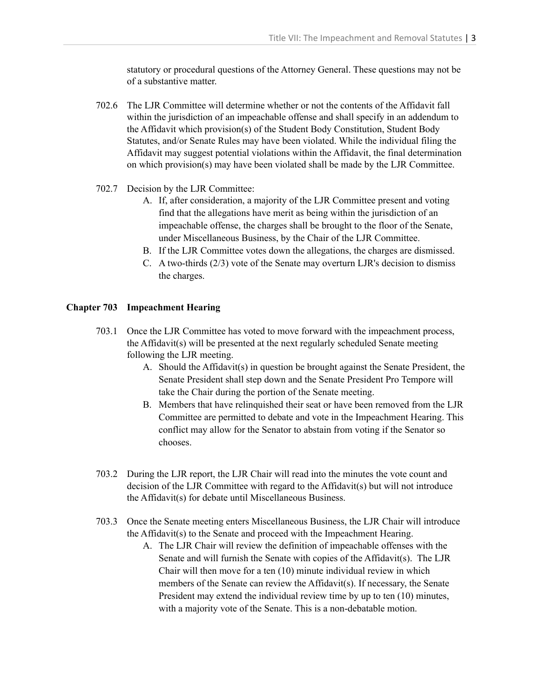statutory or procedural questions of the Attorney General. These questions may not be of a substantive matter.

- 702.6 The LJR Committee will determine whether or not the contents of the Affidavit fall within the jurisdiction of an impeachable offense and shall specify in an addendum to the Affidavit which provision(s) of the Student Body Constitution, Student Body Statutes, and/or Senate Rules may have been violated. While the individual filing the Affidavit may suggest potential violations within the Affidavit, the final determination on which provision(s) may have been violated shall be made by the LJR Committee.
- 702.7 Decision by the LJR Committee:
	- A. If, after consideration, a majority of the LJR Committee present and voting find that the allegations have merit as being within the jurisdiction of an impeachable offense, the charges shall be brought to the floor of the Senate, under Miscellaneous Business, by the Chair of the LJR Committee.
	- B. If the LJR Committee votes down the allegations, the charges are dismissed.
	- C. A two-thirds (2/3) vote of the Senate may overturn LJR's decision to dismiss the charges.

#### **Chapter 703 Impeachment Hearing**

- 703.1 Once the LJR Committee has voted to move forward with the impeachment process, the Affidavit(s) will be presented at the next regularly scheduled Senate meeting following the LJR meeting.
	- A. Should the Affidavit(s) in question be brought against the Senate President, the Senate President shall step down and the Senate President Pro Tempore will take the Chair during the portion of the Senate meeting.
	- B. Members that have relinquished their seat or have been removed from the LJR Committee are permitted to debate and vote in the Impeachment Hearing. This conflict may allow for the Senator to abstain from voting if the Senator so chooses.
- 703.2 During the LJR report, the LJR Chair will read into the minutes the vote count and decision of the LJR Committee with regard to the Affidavit(s) but will not introduce the Affidavit(s) for debate until Miscellaneous Business.
- 703.3 Once the Senate meeting enters Miscellaneous Business, the LJR Chair will introduce the Affidavit(s) to the Senate and proceed with the Impeachment Hearing.
	- A. The LJR Chair will review the definition of impeachable offenses with the Senate and will furnish the Senate with copies of the Affidavit(s). The LJR Chair will then move for a ten (10) minute individual review in which members of the Senate can review the Affidavit(s). If necessary, the Senate President may extend the individual review time by up to ten (10) minutes, with a majority vote of the Senate. This is a non-debatable motion.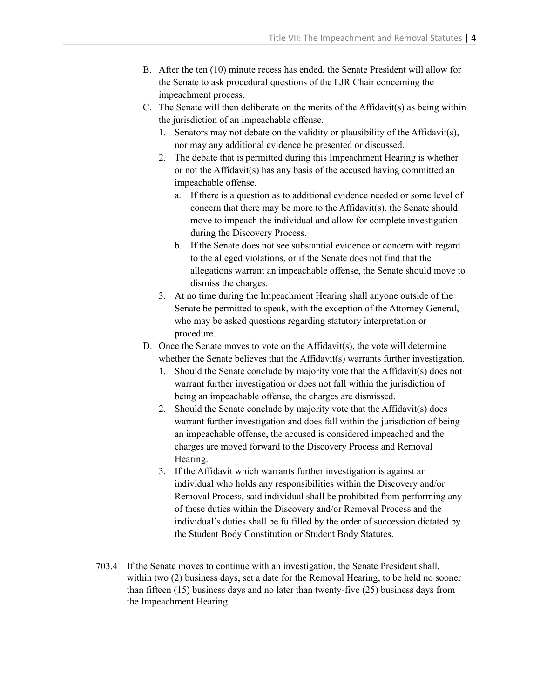- B. After the ten (10) minute recess has ended, the Senate President will allow for the Senate to ask procedural questions of the LJR Chair concerning the impeachment process.
- C. The Senate will then deliberate on the merits of the Affidavit(s) as being within the jurisdiction of an impeachable offense.
	- 1. Senators may not debate on the validity or plausibility of the Affidavit(s), nor may any additional evidence be presented or discussed.
	- 2. The debate that is permitted during this Impeachment Hearing is whether or not the Affidavit(s) has any basis of the accused having committed an impeachable offense.
		- a. If there is a question as to additional evidence needed or some level of concern that there may be more to the Affidavit(s), the Senate should move to impeach the individual and allow for complete investigation during the Discovery Process.
		- b. If the Senate does not see substantial evidence or concern with regard to the alleged violations, or if the Senate does not find that the allegations warrant an impeachable offense, the Senate should move to dismiss the charges.
	- 3. At no time during the Impeachment Hearing shall anyone outside of the Senate be permitted to speak, with the exception of the Attorney General, who may be asked questions regarding statutory interpretation or procedure.
- D. Once the Senate moves to vote on the Affidavit(s), the vote will determine whether the Senate believes that the Affidavit(s) warrants further investigation.
	- 1. Should the Senate conclude by majority vote that the Affidavit(s) does not warrant further investigation or does not fall within the jurisdiction of being an impeachable offense, the charges are dismissed.
	- 2. Should the Senate conclude by majority vote that the Affidavit(s) does warrant further investigation and does fall within the jurisdiction of being an impeachable offense, the accused is considered impeached and the charges are moved forward to the Discovery Process and Removal Hearing.
	- 3. If the Affidavit which warrants further investigation is against an individual who holds any responsibilities within the Discovery and/or Removal Process, said individual shall be prohibited from performing any of these duties within the Discovery and/or Removal Process and the individual's duties shall be fulfilled by the order of succession dictated by the Student Body Constitution or Student Body Statutes.
- 703.4 If the Senate moves to continue with an investigation, the Senate President shall, within two (2) business days, set a date for the Removal Hearing, to be held no sooner than fifteen (15) business days and no later than twenty-five (25) business days from the Impeachment Hearing.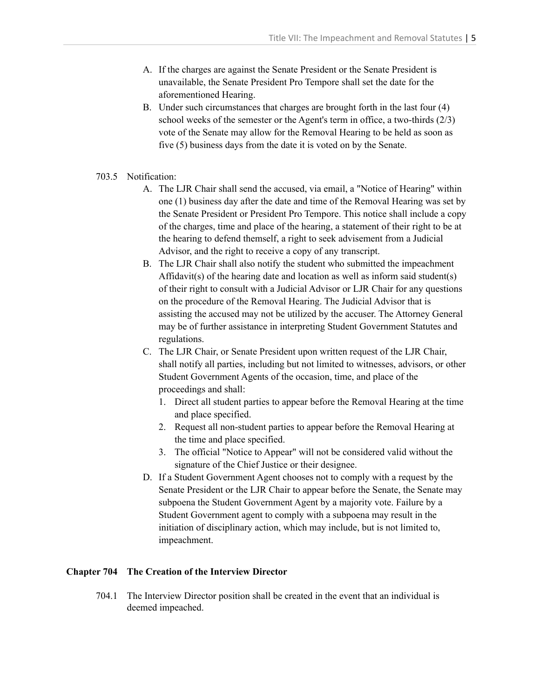- A. If the charges are against the Senate President or the Senate President is unavailable, the Senate President Pro Tempore shall set the date for the aforementioned Hearing.
- B. Under such circumstances that charges are brought forth in the last four (4) school weeks of the semester or the Agent's term in office, a two-thirds (2/3) vote of the Senate may allow for the Removal Hearing to be held as soon as five (5) business days from the date it is voted on by the Senate.
- 703.5 Notification:
	- A. The LJR Chair shall send the accused, via email, a "Notice of Hearing" within one (1) business day after the date and time of the Removal Hearing was set by the Senate President or President Pro Tempore. This notice shall include a copy of the charges, time and place of the hearing, a statement of their right to be at the hearing to defend themself, a right to seek advisement from a Judicial Advisor, and the right to receive a copy of any transcript.
	- B. The LJR Chair shall also notify the student who submitted the impeachment Affidavit(s) of the hearing date and location as well as inform said student(s) of their right to consult with a Judicial Advisor or LJR Chair for any questions on the procedure of the Removal Hearing. The Judicial Advisor that is assisting the accused may not be utilized by the accuser. The Attorney General may be of further assistance in interpreting Student Government Statutes and regulations.
	- C. The LJR Chair, or Senate President upon written request of the LJR Chair, shall notify all parties, including but not limited to witnesses, advisors, or other Student Government Agents of the occasion, time, and place of the proceedings and shall:
		- 1. Direct all student parties to appear before the Removal Hearing at the time and place specified.
		- 2. Request all non-student parties to appear before the Removal Hearing at the time and place specified.
		- 3. The official "Notice to Appear" will not be considered valid without the signature of the Chief Justice or their designee.
	- D. If a Student Government Agent chooses not to comply with a request by the Senate President or the LJR Chair to appear before the Senate, the Senate may subpoena the Student Government Agent by a majority vote. Failure by a Student Government agent to comply with a subpoena may result in the initiation of disciplinary action, which may include, but is not limited to, impeachment.

## **Chapter 704 The Creation of the Interview Director**

704.1 The Interview Director position shall be created in the event that an individual is deemed impeached.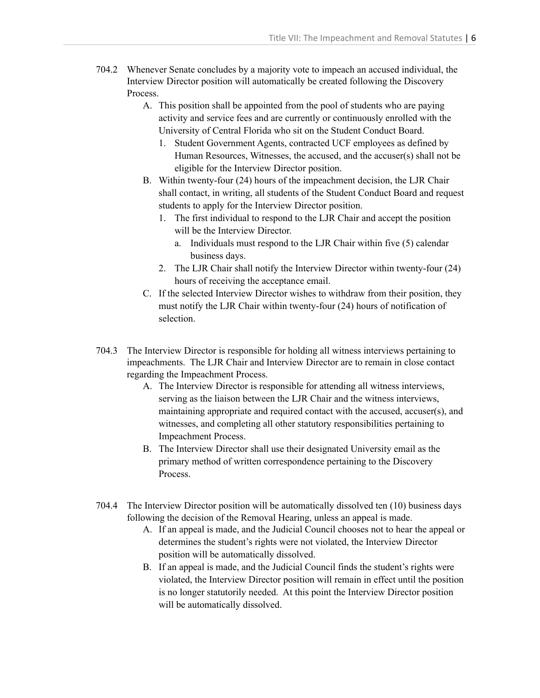- 704.2 Whenever Senate concludes by a majority vote to impeach an accused individual, the Interview Director position will automatically be created following the Discovery Process.
	- A. This position shall be appointed from the pool of students who are paying activity and service fees and are currently or continuously enrolled with the University of Central Florida who sit on the Student Conduct Board.
		- 1. Student Government Agents, contracted UCF employees as defined by Human Resources, Witnesses, the accused, and the accuser(s) shall not be eligible for the Interview Director position.
	- B. Within twenty-four (24) hours of the impeachment decision, the LJR Chair shall contact, in writing, all students of the Student Conduct Board and request students to apply for the Interview Director position.
		- 1. The first individual to respond to the LJR Chair and accept the position will be the Interview Director.
			- a. Individuals must respond to the LJR Chair within five (5) calendar business days.
		- 2. The LJR Chair shall notify the Interview Director within twenty-four (24) hours of receiving the acceptance email.
	- C. If the selected Interview Director wishes to withdraw from their position, they must notify the LJR Chair within twenty-four (24) hours of notification of selection.
- 704.3 The Interview Director is responsible for holding all witness interviews pertaining to impeachments. The LJR Chair and Interview Director are to remain in close contact regarding the Impeachment Process.
	- A. The Interview Director is responsible for attending all witness interviews, serving as the liaison between the LJR Chair and the witness interviews, maintaining appropriate and required contact with the accused, accuser(s), and witnesses, and completing all other statutory responsibilities pertaining to Impeachment Process.
	- B. The Interview Director shall use their designated University email as the primary method of written correspondence pertaining to the Discovery Process.
- 704.4 The Interview Director position will be automatically dissolved ten (10) business days following the decision of the Removal Hearing, unless an appeal is made.
	- A. If an appeal is made, and the Judicial Council chooses not to hear the appeal or determines the student's rights were not violated, the Interview Director position will be automatically dissolved.
	- B. If an appeal is made, and the Judicial Council finds the student's rights were violated, the Interview Director position will remain in effect until the position is no longer statutorily needed. At this point the Interview Director position will be automatically dissolved.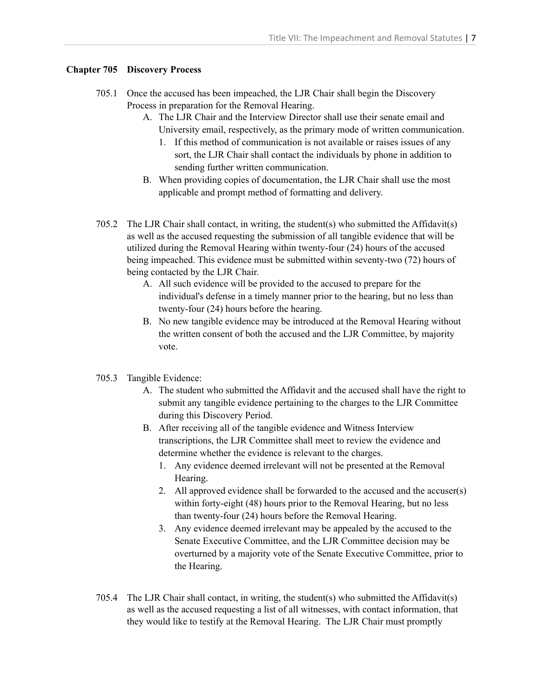## **Chapter 705 Discovery Process**

- 705.1 Once the accused has been impeached, the LJR Chair shall begin the Discovery Process in preparation for the Removal Hearing.
	- A. The LJR Chair and the Interview Director shall use their senate email and University email, respectively, as the primary mode of written communication.
		- 1. If this method of communication is not available or raises issues of any sort, the LJR Chair shall contact the individuals by phone in addition to sending further written communication.
	- B. When providing copies of documentation, the LJR Chair shall use the most applicable and prompt method of formatting and delivery.
- 705.2 The LJR Chair shall contact, in writing, the student(s) who submitted the Affidavit(s) as well as the accused requesting the submission of all tangible evidence that will be utilized during the Removal Hearing within twenty-four (24) hours of the accused being impeached. This evidence must be submitted within seventy-two (72) hours of being contacted by the LJR Chair.
	- A. All such evidence will be provided to the accused to prepare for the individual's defense in a timely manner prior to the hearing, but no less than twenty-four (24) hours before the hearing.
	- B. No new tangible evidence may be introduced at the Removal Hearing without the written consent of both the accused and the LJR Committee, by majority vote.
- 705.3 Tangible Evidence:
	- A. The student who submitted the Affidavit and the accused shall have the right to submit any tangible evidence pertaining to the charges to the LJR Committee during this Discovery Period.
	- B. After receiving all of the tangible evidence and Witness Interview transcriptions, the LJR Committee shall meet to review the evidence and determine whether the evidence is relevant to the charges.
		- 1. Any evidence deemed irrelevant will not be presented at the Removal Hearing.
		- 2. All approved evidence shall be forwarded to the accused and the accuser(s) within forty-eight (48) hours prior to the Removal Hearing, but no less than twenty-four (24) hours before the Removal Hearing.
		- 3. Any evidence deemed irrelevant may be appealed by the accused to the Senate Executive Committee, and the LJR Committee decision may be overturned by a majority vote of the Senate Executive Committee, prior to the Hearing.
- 705.4 The LJR Chair shall contact, in writing, the student(s) who submitted the Affidavit(s) as well as the accused requesting a list of all witnesses, with contact information, that they would like to testify at the Removal Hearing. The LJR Chair must promptly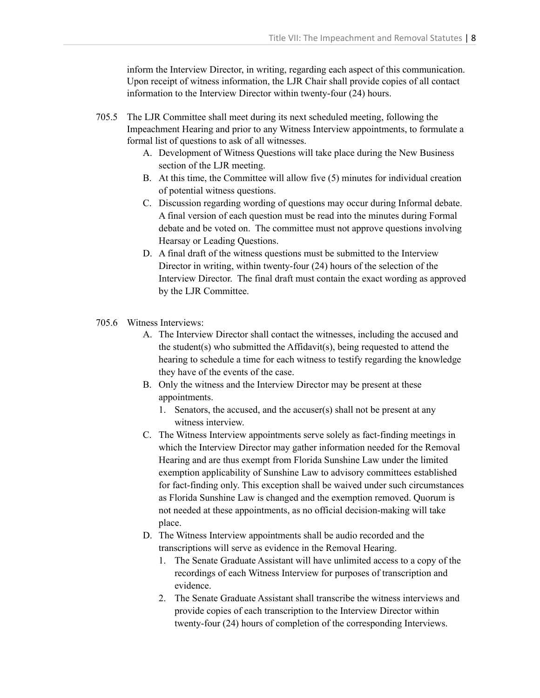inform the Interview Director, in writing, regarding each aspect of this communication. Upon receipt of witness information, the LJR Chair shall provide copies of all contact information to the Interview Director within twenty-four (24) hours.

- 705.5 The LJR Committee shall meet during its next scheduled meeting, following the Impeachment Hearing and prior to any Witness Interview appointments, to formulate a formal list of questions to ask of all witnesses.
	- A. Development of Witness Questions will take place during the New Business section of the LJR meeting.
	- B. At this time, the Committee will allow five (5) minutes for individual creation of potential witness questions.
	- C. Discussion regarding wording of questions may occur during Informal debate. A final version of each question must be read into the minutes during Formal debate and be voted on. The committee must not approve questions involving Hearsay or Leading Questions.
	- D. A final draft of the witness questions must be submitted to the Interview Director in writing, within twenty-four (24) hours of the selection of the Interview Director. The final draft must contain the exact wording as approved by the LJR Committee.
- 705.6 Witness Interviews:
	- A. The Interview Director shall contact the witnesses, including the accused and the student(s) who submitted the Affidavit(s), being requested to attend the hearing to schedule a time for each witness to testify regarding the knowledge they have of the events of the case.
	- B. Only the witness and the Interview Director may be present at these appointments.
		- 1. Senators, the accused, and the accuser(s) shall not be present at any witness interview.
	- C. The Witness Interview appointments serve solely as fact-finding meetings in which the Interview Director may gather information needed for the Removal Hearing and are thus exempt from Florida Sunshine Law under the limited exemption applicability of Sunshine Law to advisory committees established for fact-finding only. This exception shall be waived under such circumstances as Florida Sunshine Law is changed and the exemption removed. Quorum is not needed at these appointments, as no official decision-making will take place.
	- D. The Witness Interview appointments shall be audio recorded and the transcriptions will serve as evidence in the Removal Hearing.
		- 1. The Senate Graduate Assistant will have unlimited access to a copy of the recordings of each Witness Interview for purposes of transcription and evidence.
		- 2. The Senate Graduate Assistant shall transcribe the witness interviews and provide copies of each transcription to the Interview Director within twenty-four (24) hours of completion of the corresponding Interviews.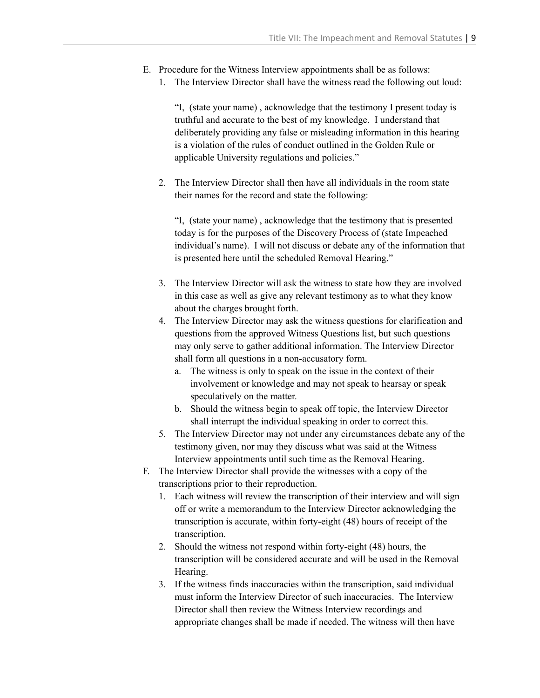- E. Procedure for the Witness Interview appointments shall be as follows:
	- 1. The Interview Director shall have the witness read the following out loud:

"I, (state your name) , acknowledge that the testimony I present today is truthful and accurate to the best of my knowledge. I understand that deliberately providing any false or misleading information in this hearing is a violation of the rules of conduct outlined in the Golden Rule or applicable University regulations and policies."

2. The Interview Director shall then have all individuals in the room state their names for the record and state the following:

"I, (state your name) , acknowledge that the testimony that is presented today is for the purposes of the Discovery Process of (state Impeached individual's name). I will not discuss or debate any of the information that is presented here until the scheduled Removal Hearing."

- 3. The Interview Director will ask the witness to state how they are involved in this case as well as give any relevant testimony as to what they know about the charges brought forth.
- 4. The Interview Director may ask the witness questions for clarification and questions from the approved Witness Questions list, but such questions may only serve to gather additional information. The Interview Director shall form all questions in a non-accusatory form.
	- a. The witness is only to speak on the issue in the context of their involvement or knowledge and may not speak to hearsay or speak speculatively on the matter.
	- b. Should the witness begin to speak off topic, the Interview Director shall interrupt the individual speaking in order to correct this.
- 5. The Interview Director may not under any circumstances debate any of the testimony given, nor may they discuss what was said at the Witness Interview appointments until such time as the Removal Hearing.
- F. The Interview Director shall provide the witnesses with a copy of the transcriptions prior to their reproduction.
	- 1. Each witness will review the transcription of their interview and will sign off or write a memorandum to the Interview Director acknowledging the transcription is accurate, within forty-eight (48) hours of receipt of the transcription.
	- 2. Should the witness not respond within forty-eight (48) hours, the transcription will be considered accurate and will be used in the Removal Hearing.
	- 3. If the witness finds inaccuracies within the transcription, said individual must inform the Interview Director of such inaccuracies. The Interview Director shall then review the Witness Interview recordings and appropriate changes shall be made if needed. The witness will then have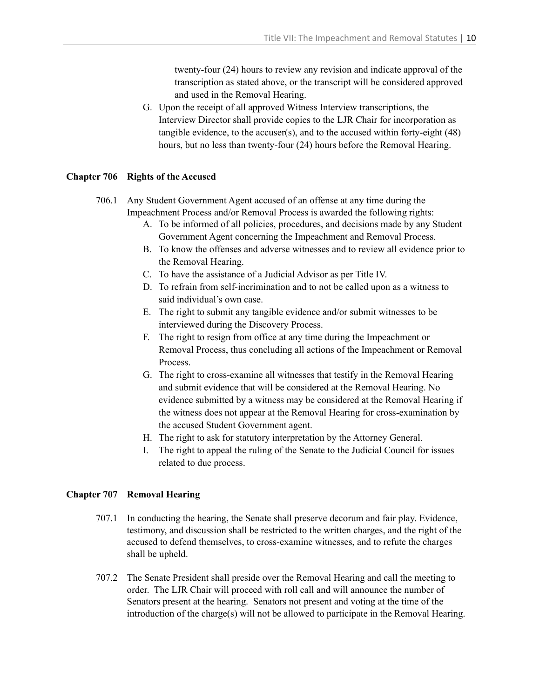twenty-four (24) hours to review any revision and indicate approval of the transcription as stated above, or the transcript will be considered approved and used in the Removal Hearing.

G. Upon the receipt of all approved Witness Interview transcriptions, the Interview Director shall provide copies to the LJR Chair for incorporation as tangible evidence, to the accuser(s), and to the accused within forty-eight (48) hours, but no less than twenty-four (24) hours before the Removal Hearing.

## **Chapter 706 Rights of the Accused**

- 706.1 Any Student Government Agent accused of an offense at any time during the Impeachment Process and/or Removal Process is awarded the following rights:
	- A. To be informed of all policies, procedures, and decisions made by any Student Government Agent concerning the Impeachment and Removal Process.
	- B. To know the offenses and adverse witnesses and to review all evidence prior to the Removal Hearing.
	- C. To have the assistance of a Judicial Advisor as per Title IV.
	- D. To refrain from self-incrimination and to not be called upon as a witness to said individual's own case.
	- E. The right to submit any tangible evidence and/or submit witnesses to be interviewed during the Discovery Process.
	- F. The right to resign from office at any time during the Impeachment or Removal Process, thus concluding all actions of the Impeachment or Removal Process.
	- G. The right to cross-examine all witnesses that testify in the Removal Hearing and submit evidence that will be considered at the Removal Hearing. No evidence submitted by a witness may be considered at the Removal Hearing if the witness does not appear at the Removal Hearing for cross-examination by the accused Student Government agent.
	- H. The right to ask for statutory interpretation by the Attorney General.
	- I. The right to appeal the ruling of the Senate to the Judicial Council for issues related to due process.

# **Chapter 707 Removal Hearing**

- 707.1 In conducting the hearing, the Senate shall preserve decorum and fair play. Evidence, testimony, and discussion shall be restricted to the written charges, and the right of the accused to defend themselves, to cross-examine witnesses, and to refute the charges shall be upheld.
- 707.2 The Senate President shall preside over the Removal Hearing and call the meeting to order. The LJR Chair will proceed with roll call and will announce the number of Senators present at the hearing. Senators not present and voting at the time of the introduction of the charge(s) will not be allowed to participate in the Removal Hearing.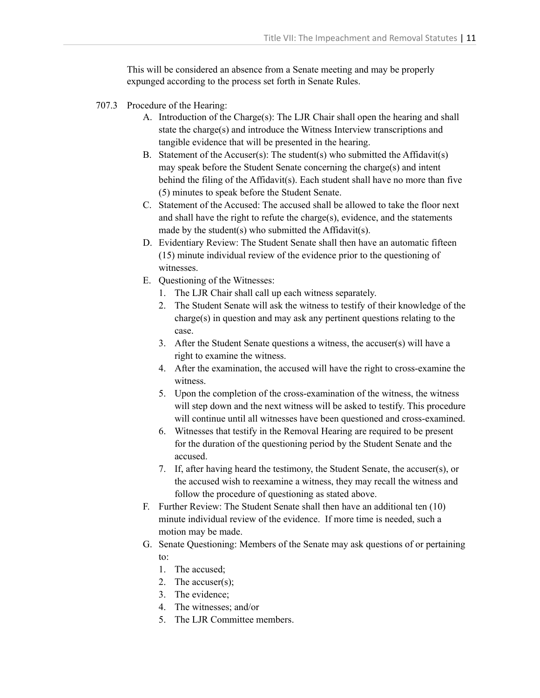This will be considered an absence from a Senate meeting and may be properly expunged according to the process set forth in Senate Rules.

- 707.3 Procedure of the Hearing:
	- A. Introduction of the Charge(s): The LJR Chair shall open the hearing and shall state the charge(s) and introduce the Witness Interview transcriptions and tangible evidence that will be presented in the hearing.
	- B. Statement of the Accuser(s): The student(s) who submitted the Affidavit(s) may speak before the Student Senate concerning the charge(s) and intent behind the filing of the Affidavit(s). Each student shall have no more than five (5) minutes to speak before the Student Senate.
	- C. Statement of the Accused: The accused shall be allowed to take the floor next and shall have the right to refute the charge(s), evidence, and the statements made by the student(s) who submitted the Affidavit(s).
	- D. Evidentiary Review: The Student Senate shall then have an automatic fifteen (15) minute individual review of the evidence prior to the questioning of witnesses.
	- E. Questioning of the Witnesses:
		- 1. The LJR Chair shall call up each witness separately.
		- 2. The Student Senate will ask the witness to testify of their knowledge of the charge(s) in question and may ask any pertinent questions relating to the case.
		- 3. After the Student Senate questions a witness, the accuser(s) will have a right to examine the witness.
		- 4. After the examination, the accused will have the right to cross-examine the witness.
		- 5. Upon the completion of the cross-examination of the witness, the witness will step down and the next witness will be asked to testify. This procedure will continue until all witnesses have been questioned and cross-examined.
		- 6. Witnesses that testify in the Removal Hearing are required to be present for the duration of the questioning period by the Student Senate and the accused.
		- 7. If, after having heard the testimony, the Student Senate, the accuser(s), or the accused wish to reexamine a witness, they may recall the witness and follow the procedure of questioning as stated above.
	- F. Further Review: The Student Senate shall then have an additional ten (10) minute individual review of the evidence. If more time is needed, such a motion may be made.
	- G. Senate Questioning: Members of the Senate may ask questions of or pertaining to:
		- 1. The accused;
		- 2. The accuser(s);
		- 3. The evidence;
		- 4. The witnesses; and/or
		- 5. The LJR Committee members.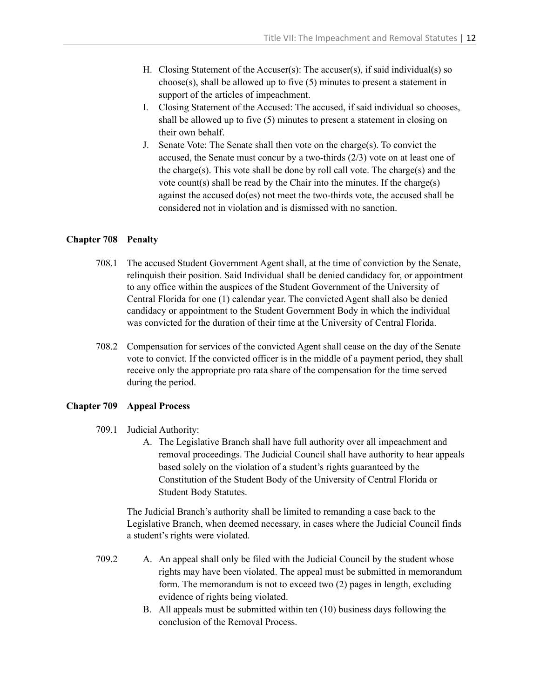- H. Closing Statement of the Accuser(s): The accuser(s), if said individual(s) so choose(s), shall be allowed up to five (5) minutes to present a statement in support of the articles of impeachment.
- I. Closing Statement of the Accused: The accused, if said individual so chooses, shall be allowed up to five (5) minutes to present a statement in closing on their own behalf.
- J. Senate Vote: The Senate shall then vote on the charge(s). To convict the accused, the Senate must concur by a two-thirds (2/3) vote on at least one of the charge(s). This vote shall be done by roll call vote. The charge(s) and the vote count(s) shall be read by the Chair into the minutes. If the charge(s) against the accused do(es) not meet the two-thirds vote, the accused shall be considered not in violation and is dismissed with no sanction.

#### **Chapter 708 Penalty**

- 708.1 The accused Student Government Agent shall, at the time of conviction by the Senate, relinquish their position. Said Individual shall be denied candidacy for, or appointment to any office within the auspices of the Student Government of the University of Central Florida for one (1) calendar year. The convicted Agent shall also be denied candidacy or appointment to the Student Government Body in which the individual was convicted for the duration of their time at the University of Central Florida.
- 708.2 Compensation for services of the convicted Agent shall cease on the day of the Senate vote to convict. If the convicted officer is in the middle of a payment period, they shall receive only the appropriate pro rata share of the compensation for the time served during the period.

#### **Chapter 709 Appeal Process**

- 709.1 Judicial Authority:
	- A. The Legislative Branch shall have full authority over all impeachment and removal proceedings. The Judicial Council shall have authority to hear appeals based solely on the violation of a student's rights guaranteed by the Constitution of the Student Body of the University of Central Florida or Student Body Statutes.

The Judicial Branch's authority shall be limited to remanding a case back to the Legislative Branch, when deemed necessary, in cases where the Judicial Council finds a student's rights were violated.

- 709.2 A. An appeal shall only be filed with the Judicial Council by the student whose rights may have been violated. The appeal must be submitted in memorandum form. The memorandum is not to exceed two (2) pages in length, excluding evidence of rights being violated.
	- B. All appeals must be submitted within ten (10) business days following the conclusion of the Removal Process.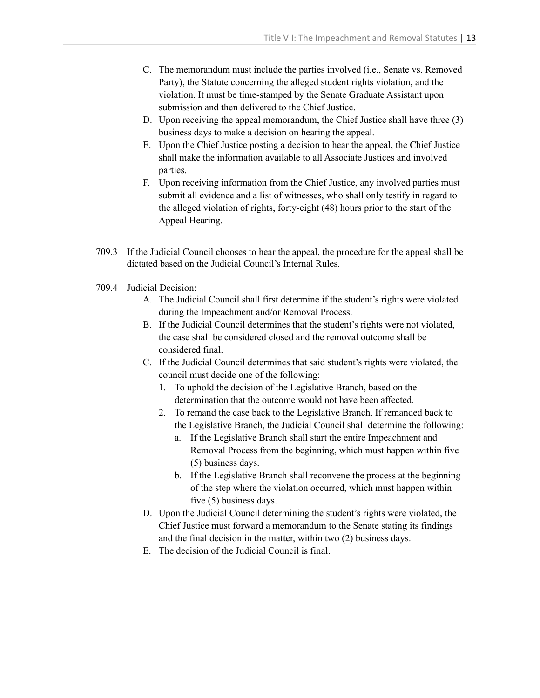- C. The memorandum must include the parties involved (i.e., Senate vs. Removed Party), the Statute concerning the alleged student rights violation, and the violation. It must be time-stamped by the Senate Graduate Assistant upon submission and then delivered to the Chief Justice.
- D. Upon receiving the appeal memorandum, the Chief Justice shall have three (3) business days to make a decision on hearing the appeal.
- E. Upon the Chief Justice posting a decision to hear the appeal, the Chief Justice shall make the information available to all Associate Justices and involved parties.
- F. Upon receiving information from the Chief Justice, any involved parties must submit all evidence and a list of witnesses, who shall only testify in regard to the alleged violation of rights, forty-eight (48) hours prior to the start of the Appeal Hearing.
- 709.3 If the Judicial Council chooses to hear the appeal, the procedure for the appeal shall be dictated based on the Judicial Council's Internal Rules.
- 709.4 Judicial Decision:
	- A. The Judicial Council shall first determine if the student's rights were violated during the Impeachment and/or Removal Process.
	- B. If the Judicial Council determines that the student's rights were not violated, the case shall be considered closed and the removal outcome shall be considered final.
	- C. If the Judicial Council determines that said student's rights were violated, the council must decide one of the following:
		- 1. To uphold the decision of the Legislative Branch, based on the determination that the outcome would not have been affected.
		- 2. To remand the case back to the Legislative Branch. If remanded back to the Legislative Branch, the Judicial Council shall determine the following:
			- a. If the Legislative Branch shall start the entire Impeachment and Removal Process from the beginning, which must happen within five (5) business days.
			- b. If the Legislative Branch shall reconvene the process at the beginning of the step where the violation occurred, which must happen within five (5) business days.
	- D. Upon the Judicial Council determining the student's rights were violated, the Chief Justice must forward a memorandum to the Senate stating its findings and the final decision in the matter, within two (2) business days.
	- E. The decision of the Judicial Council is final.